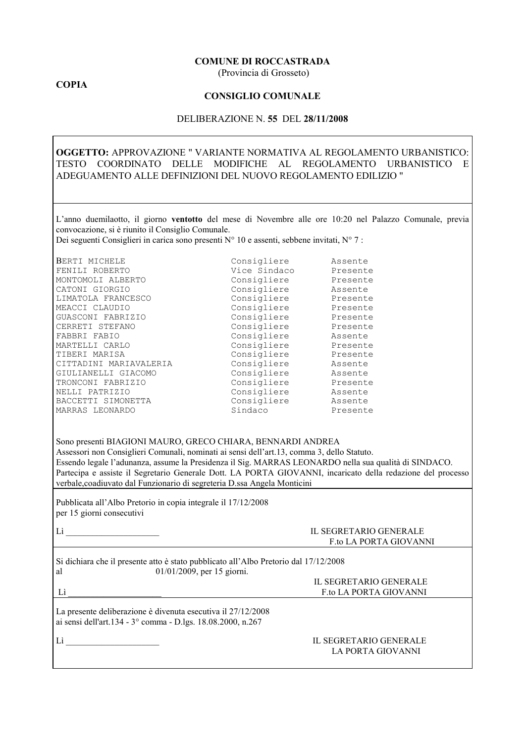#### **COMUNE DI ROCCASTRADA**

(Provincia di Grosseto)

### **COPIA**

#### **CONSIGLIO COMUNALE**

#### DELIBERAZIONE N. 55 DEL 28/11/2008

## OGGETTO: APPROVAZIONE " VARIANTE NORMATIVA AL REGOLAMENTO URBANISTICO: TESTO COORDINATO DELLE MODIFICHE AL REGOLAMENTO URBANISTICO E ADEGUAMENTO ALLE DEFINIZIONI DEL NUOVO REGOLAMENTO EDILIZIO "

L'anno duemilaotto, il giorno ventotto del mese di Novembre alle ore 10:20 nel Palazzo Comunale, previa convocazione, si è riunito il Consiglio Comunale.

Dei seguenti Consiglieri in carica sono presenti  $N^{\circ}$  10 e assenti, sebbene invitati,  $N^{\circ}$  7:

| BERTI MICHELE          | Consigliere  | Assente  |
|------------------------|--------------|----------|
| FENILI ROBERTO         | Vice Sindaco | Presente |
| MONTOMOLI ALBERTO      | Consigliere  | Presente |
| CATONI GIORGIO         | Consigliere  | Assente  |
| LIMATOLA FRANCESCO     | Consigliere  | Presente |
| MEACCI CLAUDIO         | Consigliere  | Presente |
| GUASCONI FABRIZIO      | Consigliere  | Presente |
| CERRETI STEFANO        | Consigliere  | Presente |
| FABBRI FABIO           | Consigliere  | Assente  |
| MARTELLI CARLO         | Consigliere  | Presente |
| TIBERI MARISA          | Consigliere  | Presente |
| CITTADINI MARIAVALERIA | Consigliere  | Assente  |
| GIULIANELLI GIACOMO    | Consigliere  | Assente  |
| TRONCONI FABRIZIO      | Consigliere  | Presente |
| NELLI PATRIZIO         | Consigliere  | Assente  |
| BACCETTI SIMONETTA     | Consigliere  | Assente  |
| MARRAS LEONARDO        | Sindaco      | Presente |
|                        |              |          |

Sono presenti BIAGIONI MAURO, GRECO CHIARA, BENNARDI ANDREA Assessori non Consiglieri Comunali, nominati ai sensi dell'art.13, comma 3, dello Statuto. Essendo legale l'adunanza, assume la Presidenza il Sig. MARRAS LEONARDO nella sua qualità di SINDACO. Partecipa e assiste il Segretario Generale Dott. LA PORTA GIOVANNI, incaricato della redazione del processo verbale, coadiuvato dal Funzionario di segreteria D.ssa Angela Monticini

Pubblicata all'Albo Pretorio in copia integrale il 17/12/2008 per 15 giorni consecutivi

#### IL SEGRETARIO GENERALE F.to LA PORTA GIOVANNI

Si dichiara che il presente atto è stato pubblicato all'Albo Pretorio dal 17/12/2008 01/01/2009, per 15 giorni. al

 $Li$ 

#### IL SEGRETARIO GENERALE F.to LA PORTA GIOVANNI

La presente deliberazione è divenuta esecutiva il 27/12/2008 ai sensi dell'art.134 - 3° comma - D.lgs. 18.08.2000, n.267

 $Li$ 

#### IL SEGRETARIO GENERALE LA PORTA GIOVANNI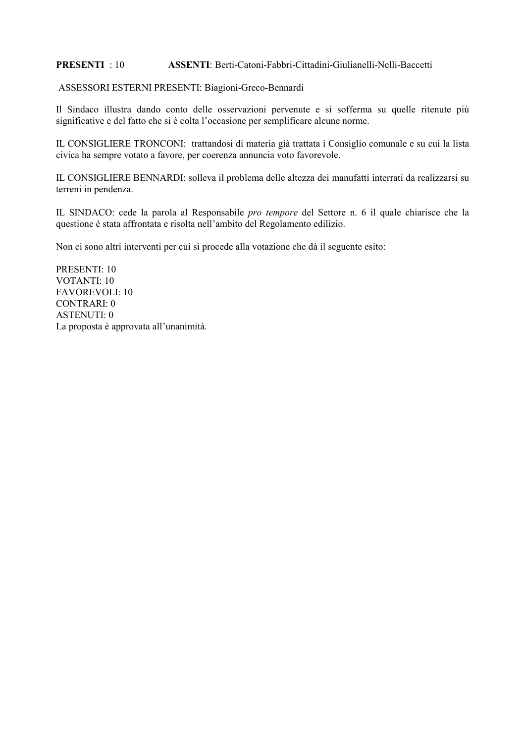#### ASSENTI: Berti-Catoni-Fabbri-Cittadini-Giulianelli-Nelli-Baccetti **PRESENTI**: 10

### ASSESSORI ESTERNI PRESENTI: Biagioni-Greco-Bennardi

Il Sindaco illustra dando conto delle osservazioni pervenute e si sofferma su quelle ritenute più significative e del fatto che si è colta l'occasione per semplificare alcune norme.

IL CONSIGLIERE TRONCONI: trattandosi di materia già trattata i Consiglio comunale e su cui la lista civica ha sempre votato a favore, per coerenza annuncia voto favorevole.

IL CONSIGLIERE BENNARDI: solleva il problema delle altezza dei manufatti interrati da realizzarsi su terreni in pendenza.

IL SINDACO: cede la parola al Responsabile pro tempore del Settore n. 6 il quale chiarisce che la questione è stata affrontata e risolta nell'ambito del Regolamento edilizio.

Non ci sono altri interventi per cui si procede alla votazione che dà il seguente esito:

PRESENTI: 10 VOTANTI $\cdot$ 10 **FAVOREVOLI: 10 CONTRARI: 0 ASTENUTI: 0** La proposta è approvata all'unanimità.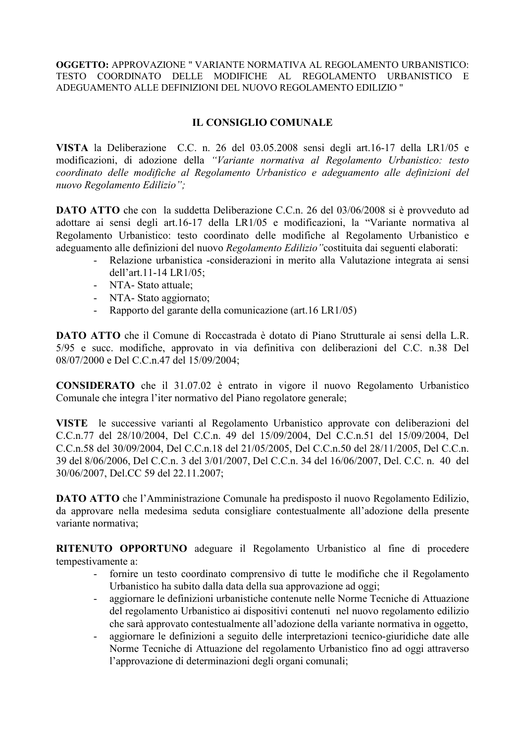# **IL CONSIGLIO COMUNALE**

VISTA la Deliberazione C.C. n. 26 del 03.05.2008 sensi degli art.16-17 della LR1/05 e modificazioni, di adozione della "Variante normativa al Regolamento Urbanistico: testo coordinato delle modifiche al Regolamento Urbanistico e adeguamento alle definizioni del nuovo Regolamento Edilizio";

**DATO ATTO** che con la suddetta Deliberazione C.C.n. 26 del 03/06/2008 si è provveduto ad adottare ai sensi degli art.16-17 della LR1/05 e modificazioni, la "Variante normativa al Regolamento Urbanistico: testo coordinato delle modifiche al Regolamento Urbanistico e adeguamento alle definizioni del nuovo Regolamento Edilizio "costituita dai seguenti elaborati:

- Relazione urbanistica -considerazioni in merito alla Valutazione integrata ai sensi  $\Delta \sim 10^4$ dell'art.11-14 LR1/05;
- NTA-Stato attuale:
- NTA-Stato aggiornato:
- Rapporto del garante della comunicazione (art. 16 LR1/05)

**DATO ATTO** che il Comune di Roccastrada è dotato di Piano Strutturale ai sensi della L.R. 5/95 e succ. modifiche, approvato in via definitiva con deliberazioni del C.C. n.38 Del 08/07/2000 e Del C.C.n.47 del 15/09/2004;

**CONSIDERATO** che il 31.07.02 è entrato in vigore il nuovo Regolamento Urbanistico Comunale che integra l'iter normativo del Piano regolatore generale;

VISTE le successive varianti al Regolamento Urbanistico approvate con deliberazioni del C.C.n.77 del 28/10/2004, Del C.C.n. 49 del 15/09/2004, Del C.C.n.51 del 15/09/2004, Del C.C.n.58 del 30/09/2004, Del C.C.n.18 del 21/05/2005, Del C.C.n.50 del 28/11/2005, Del C.C.n. 39 del 8/06/2006, Del C.C.n. 3 del 3/01/2007, Del C.C.n. 34 del 16/06/2007, Del. C.C. n. 40 del 30/06/2007, Del.CC 59 del 22.11.2007;

**DATO ATTO** che l'Amministrazione Comunale ha predisposto il nuovo Regolamento Edilizio, da approvare nella medesima seduta consigliare contestualmente all'adozione della presente variante normativa;

RITENUTO OPPORTUNO adeguare il Regolamento Urbanistico al fine di procedere tempestivamente a:

- fornire un testo coordinato comprensivo di tutte le modifiche che il Regolamento Urbanistico ha subito dalla data della sua approvazione ad oggi:
- aggiornare le definizioni urbanistiche contenute nelle Norme Tecniche di Attuazione  $\omega_{\rm{eff}}$ del regolamento Urbanistico ai dispositivi contenuti nel nuovo regolamento edilizio che sarà approvato contestualmente all'adozione della variante normativa in oggetto,
- aggiornare le definizioni a seguito delle interpretazioni tecnico-giuridiche date alle  $\omega_{\rm{eff}}$ Norme Tecniche di Attuazione del regolamento Urbanistico fino ad oggi attraverso l'approvazione di determinazioni degli organi comunali;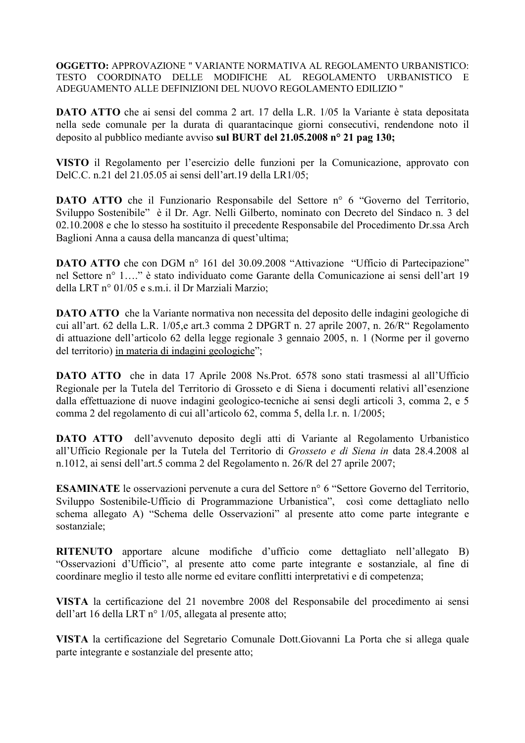**DATO ATTO** che ai sensi del comma 2 art. 17 della L.R. 1/05 la Variante è stata depositata nella sede comunale per la durata di quarantacinque giorni consecutivi, rendendone noto il deposito al pubblico mediante avviso sul BURT del 21.05.2008 nº 21 pag 130;

VISTO il Regolamento per l'esercizio delle funzioni per la Comunicazione, approvato con DelC.C. n.21 del 21.05.05 ai sensi dell'art.19 della LR1/05;

**DATO ATTO** che il Funzionario Responsabile del Settore nº 6 "Governo del Territorio, Sviluppo Sostenibile" è il Dr. Agr. Nelli Gilberto, nominato con Decreto del Sindaco n. 3 del 02.10.2008 e che lo stesso ha sostituito il precedente Responsabile del Procedimento Dr.ssa Arch Baglioni Anna a causa della mancanza di quest'ultima;

DATO ATTO che con DGM nº 161 del 30.09.2008 "Attivazione "Ufficio di Partecipazione" nel Settore nº 1...." è stato individuato come Garante della Comunicazione ai sensi dell'art 19 della LRT nº 01/05 e s.m.i. il Dr Marziali Marzio:

**DATO ATTO** che la Variante normativa non necessita del deposito delle indagini geologiche di cui all'art. 62 della L.R. 1/05, e art.3 comma 2 DPGRT n. 27 aprile 2007, n. 26/R" Regolamento di attuazione dell'articolo 62 della legge regionale 3 gennaio 2005, n. 1 (Norme per il governo del territorio) in materia di indagini geologiche";

**DATO ATTO** che in data 17 Aprile 2008 Ns. Prot. 6578 sono stati trasmessi al all'Ufficio Regionale per la Tutela del Territorio di Grosseto e di Siena i documenti relativi all'esenzione dalla effettuazione di nuove indagini geologico-tecniche ai sensi degli articoli 3, comma 2, e 5 comma 2 del regolamento di cui all'articolo 62, comma 5, della l.r. n. 1/2005;

DATO ATTO dell'avvenuto deposito degli atti di Variante al Regolamento Urbanistico all'Ufficio Regionale per la Tutela del Territorio di Grosseto e di Siena in data 28.4.2008 al n.1012, ai sensi dell'art.5 comma 2 del Regolamento n. 26/R del 27 aprile 2007;

**ESAMINATE** le osservazioni pervenute a cura del Settore n° 6 "Settore Governo del Territorio, Sviluppo Sostenibile-Ufficio di Programmazione Urbanistica", così come dettagliato nello schema allegato A) "Schema delle Osservazioni" al presente atto come parte integrante e sostanziale;

RITENUTO apportare alcune modifiche d'ufficio come dettagliato nell'allegato B) "Osservazioni d'Ufficio", al presente atto come parte integrante e sostanziale, al fine di coordinare meglio il testo alle norme ed evitare conflitti interpretativi e di competenza;

VISTA la certificazione del 21 novembre 2008 del Responsabile del procedimento ai sensi dell'art 16 della LRT nº 1/05, allegata al presente atto;

VISTA la certificazione del Segretario Comunale Dott. Giovanni La Porta che si allega quale parte integrante e sostanziale del presente atto;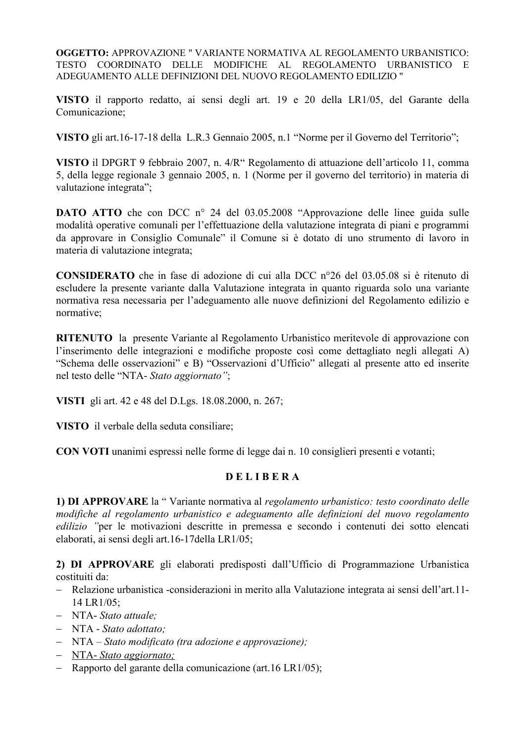VISTO il rapporto redatto, ai sensi degli art. 19 e 20 della LR1/05, del Garante della Comunicazione:

VISTO gli art.16-17-18 della L.R.3 Gennaio 2005, n.1 "Norme per il Governo del Territorio";

VISTO il DPGRT 9 febbraio 2007, n. 4/R" Regolamento di attuazione dell'articolo 11, comma 5, della legge regionale 3 gennaio 2005, n. 1 (Norme per il governo del territorio) in materia di valutazione integrata";

**DATO ATTO** che con DCC n° 24 del 03.05.2008 "Approvazione delle linee guida sulle modalità operative comunali per l'effettuazione della valutazione integrata di piani e programmi da approvare in Consiglio Comunale" il Comune si è dotato di uno strumento di lavoro in materia di valutazione integrata;

**CONSIDERATO** che in fase di adozione di cui alla DCC  $n^{\circ}26$  del 03.05.08 si è ritenuto di escludere la presente variante dalla Valutazione integrata in quanto riguarda solo una variante normativa resa necessaria per l'adeguamento alle nuove definizioni del Regolamento edilizio e normative:

RITENUTO la presente Variante al Regolamento Urbanistico meritevole di approvazione con l'inserimento delle integrazioni e modifiche proposte così come dettagliato negli allegati A) "Schema delle osservazioni" e B) "Osservazioni d'Ufficio" allegati al presente atto ed inserite nel testo delle "NTA- Stato aggiornato";

VISTI gli art. 42 e 48 del D.Lgs. 18.08.2000, n. 267;

VISTO il verbale della seduta consiliare:

CON VOTI unanimi espressi nelle forme di legge dai n. 10 consiglieri presenti e votanti;

# **DELIBERA**

1) DI APPROVARE la "Variante normativa al regolamento urbanistico: testo coordinato delle modifiche al regolamento urbanistico e adeguamento alle definizioni del nuovo regolamento *edilizio* "per le motivazioni descritte in premessa e secondo i contenuti dei sotto elencati elaborati, ai sensi degli art.16-17 della LR1/05;

2) DI APPROVARE gli elaborati predisposti dall'Ufficio di Programmazione Urbanistica costituiti da:

- Relazione urbanistica -considerazioni in merito alla Valutazione integrata ai sensi dell'art.11-14 LR1/05:
- $-$  NTA-Stato attuale:
- $NTA Stato adottato$ :
- NTA Stato modificato (tra adozione e approvazione);
- NTA-Stato aggiornato;
- Rapporto del garante della comunicazione (art. 16 LR1/05);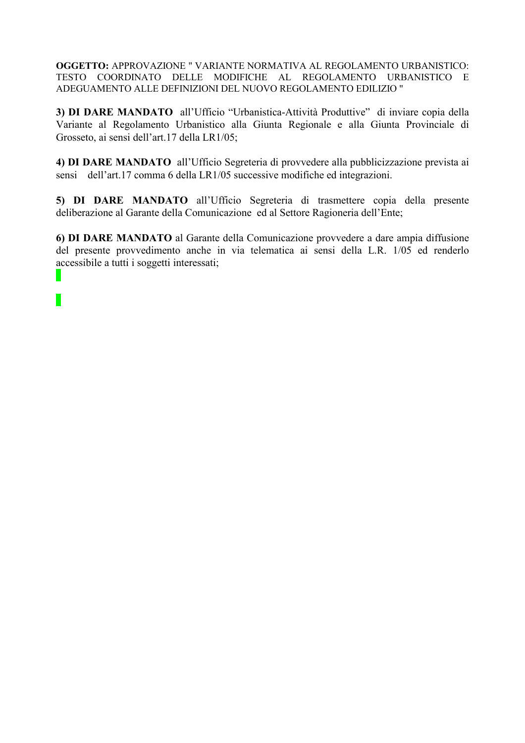3) DI DARE MANDATO all'Ufficio "Urbanistica-Attività Produttive" di inviare copia della Variante al Regolamento Urbanistico alla Giunta Regionale e alla Giunta Provinciale di Grosseto, ai sensi dell'art.17 della LR1/05;

4) DI DARE MANDATO all'Ufficio Segreteria di provvedere alla pubblicizzazione prevista ai sensi dell'art.17 comma 6 della LR1/05 successive modifiche ed integrazioni.

5) DI DARE MANDATO all'Ufficio Segreteria di trasmettere copia della presente deliberazione al Garante della Comunicazione ed al Settore Ragioneria dell'Ente;

6) DI DARE MANDATO al Garante della Comunicazione provvedere a dare ampia diffusione del presente provvedimento anche in via telematica ai sensi della L.R. 1/05 ed renderlo accessibile a tutti i soggetti interessati;

 $\mathbb{R}^n$ 

П